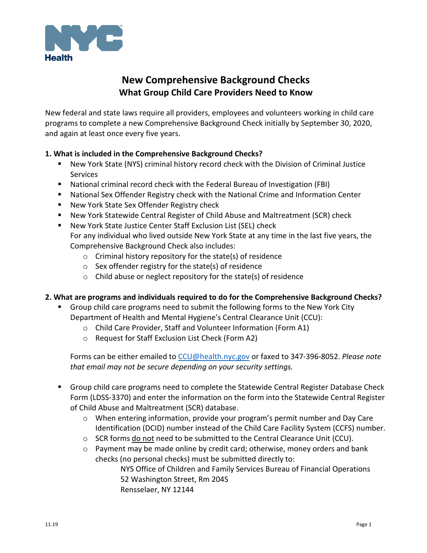

# **New Comprehensive Background Checks What Group Child Care Providers Need to Know**

New federal and state laws require all providers, employees and volunteers working in child care programs to complete a new Comprehensive Background Check initially by September 30, 2020, and again at least once every five years.

#### **1. What is included in the Comprehensive Background Checks?**

- New York State (NYS) criminal history record check with the Division of Criminal Justice Services
- National criminal record check with the Federal Bureau of Investigation (FBI)
- National Sex Offender Registry check with the National Crime and Information Center
- New York State Sex Offender Registry check
- New York Statewide Central Register of Child Abuse and Maltreatment (SCR) check
- New York State Justice Center Staff Exclusion List (SEL) check For any individual who lived outside New York State at any time in the last five years, the Comprehensive Background Check also includes:
	- o Criminal history repository for the state(s) of residence
	- o Sex offender registry for the state(s) of residence
	- o Child abuse or neglect repository for the state(s) of residence

#### **2. What are programs and individuals required to do for the Comprehensive Background Checks?**

- Group child care programs need to submit the following forms to the New York City Department of Health and Mental Hygiene's Central Clearance Unit (CCU):
	- o Child Care Provider, Staff and Volunteer Information (Form A1)
	- o Request for Staff Exclusion List Check (Form A2)

Forms can be either emailed to [CCU@health.nyc.gov](mailto:CCU@health.nyc.gov) or faxed to 347-396-8052. *Please note that email may not be secure depending on your security settings.*

- **Group child care programs need to complete the Statewide Central Register Database Check** Form (LDSS-3370) and enter the information on the form into the Statewide Central Register of Child Abuse and Maltreatment (SCR) database.
	- o When entering information, provide your program's permit number and Day Care Identification (DCID) number instead of the Child Care Facility System (CCFS) number.
	- $\circ$  SCR forms do not need to be submitted to the Central Clearance Unit (CCU).
	- o Payment may be made online by credit card; otherwise, money orders and bank checks (no personal checks) must be submitted directly to:

NYS Office of Children and Family Services Bureau of Financial Operations 52 Washington Street, Rm 204S Rensselaer, NY 12144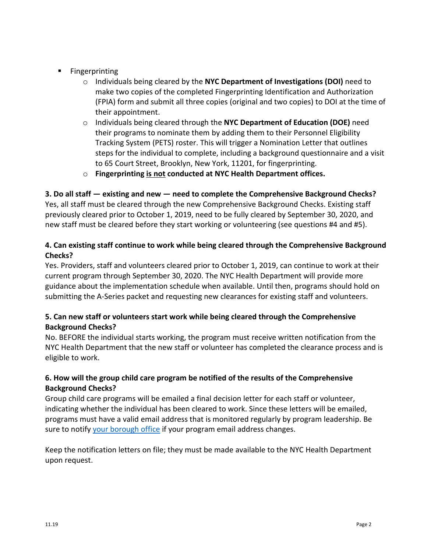- **Fingerprinting** 
	- o Individuals being cleared by the **NYC Department of Investigations (DOI)** need to make two copies of the completed Fingerprinting Identification and Authorization (FPIA) form and submit all three copies (original and two copies) to DOI at the time of their appointment.
	- o Individuals being cleared through the **NYC Department of Education (DOE)** need their programs to nominate them by adding them to their Personnel Eligibility Tracking System (PETS) roster. This will trigger a Nomination Letter that outlines steps for the individual to complete, including a background questionnaire and a visit to 65 Court Street, Brooklyn, New York, 11201, for fingerprinting.
	- o **Fingerprinting is not conducted at NYC Health Department offices.**

# **3. Do all staff — existing and new — need to complete the Comprehensive Background Checks?**

Yes, all staff must be cleared through the new Comprehensive Background Checks. Existing staff previously cleared prior to October 1, 2019, need to be fully cleared by September 30, 2020, and new staff must be cleared before they start working or volunteering (see questions #4 and #5).

# **4. Can existing staff continue to work while being cleared through the Comprehensive Background Checks?**

Yes. Providers, staff and volunteers cleared prior to October 1, 2019, can continue to work at their current program through September 30, 2020. The NYC Health Department will provide more guidance about the implementation schedule when available. Until then, programs should hold on submitting the A-Series packet and requesting new clearances for existing staff and volunteers.

# **5. Can new staff or volunteers start work while being cleared through the Comprehensive Background Checks?**

No. BEFORE the individual starts working, the program must receive written notification from the NYC Health Department that the new staff or volunteer has completed the clearance process and is eligible to work.

# **6. How will the group child care program be notified of the results of the Comprehensive Background Checks?**

Group child care programs will be emailed a final decision letter for each staff or volunteer, indicating whether the individual has been cleared to work. Since these letters will be emailed, programs must have a valid email address that is monitored regularly by program leadership. Be sure to notify [your borough office](https://www1.nyc.gov/assets/doh/downloads/pdf/dc/cc-boro-offices-gcc.pdf) if your program email address changes.

Keep the notification letters on file; they must be made available to the NYC Health Department upon request.